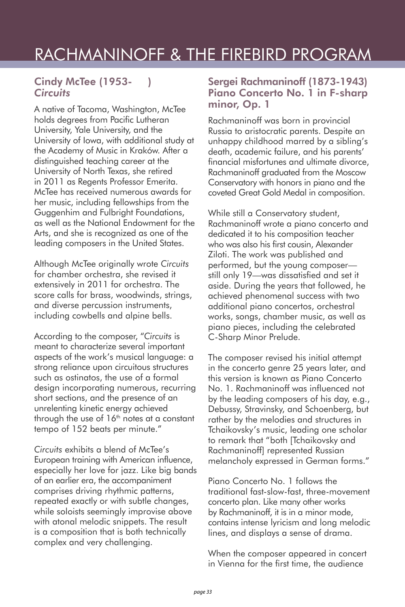## RACHMANINOFF & THE FIREBIRD PROGRAM

#### Cindy McTee (1953- ) *Circuits*

A native of Tacoma, Washington, McTee holds degrees from Pacific Lutheran University, Yale University, and the University of Iowa, with additional study at the Academy of Music in Kraków. After a distinguished teaching career at the University of North Texas, she retired in 2011 as Regents Professor Emerita. McTee has received numerous awards for her music, including fellowships from the Guggenhim and Fulbright Foundations, as well as the National Endowment for the Arts, and she is recognized as one of the leading composers in the United States.

Although McTee originally wrote *Circuits*  for chamber orchestra, she revised it extensively in 2011 for orchestra. The score calls for brass, woodwinds, strings, and diverse percussion instruments, including cowbells and alpine bells.

According to the composer, "*Circuits* is meant to characterize several important aspects of the work's musical language: a strong reliance upon circuitous structures such as ostinatos, the use of a formal design incorporating numerous, recurring short sections, and the presence of an unrelenting kinetic energy achieved through the use of  $16<sup>th</sup>$  notes at a constant tempo of 152 beats per minute."

*Circuits* exhibits a blend of McTee's European training with American influence, especially her love for jazz. Like big bands of an earlier era, the accompaniment comprises driving rhythmic patterns, repeated exactly or with subtle changes, while soloists seemingly improvise above with atonal melodic snippets. The result is a composition that is both technically complex and very challenging.

#### Sergei Rachmaninoff (1873-1943) Piano Concerto No. 1 in F-sharp minor, Op. 1

Rachmaninoff was born in provincial Russia to aristocratic parents. Despite an unhappy childhood marred by a sibling's death, academic failure, and his parents' financial misfortunes and ultimate divorce, Rachmaninoff graduated from the Moscow Conservatory with honors in piano and the coveted Great Gold Medal in composition.

While still a Conservatory student, Rachmaninoff wrote a piano concerto and dedicated it to his composition teacher who was also his first cousin, Alexander Ziloti. The work was published and performed, but the young composer still only 19—was dissatisfied and set it aside. During the years that followed, he achieved phenomenal success with two additional piano concertos, orchestral works, songs, chamber music, as well as piano pieces, including the celebrated C-Sharp Minor Prelude.

The composer revised his initial attempt in the concerto genre 25 years later, and this version is known as Piano Concerto No. 1. Rachmaninoff was influenced not by the leading composers of his day, e.g., Debussy, Stravinsky, and Schoenberg, but rather by the melodies and structures in Tchaikovsky's music, leading one scholar to remark that "both [Tchaikovsky and Rachmaninoff] represented Russian melancholy expressed in German forms."

Piano Concerto No. 1 follows the traditional fast-slow-fast, three-movement concerto plan. Like many other works by Rachmaninoff, it is in a minor mode, contains intense lyricism and long melodic lines, and displays a sense of drama.

When the composer appeared in concert in Vienna for the first time, the audience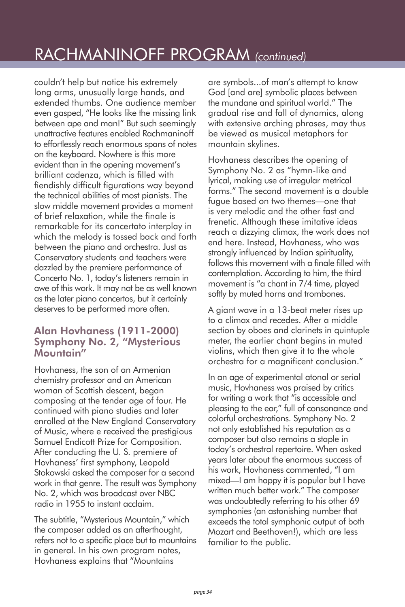# RACHMANINOFF PROGRAM *(continued)*

couldn't help but notice his extremely long arms, unusually large hands, and extended thumbs. One audience member even gasped, "He looks like the missing link between ape and man!" But such seemingly unattractive features enabled Rachmaninoff to effortlessly reach enormous spans of notes on the keyboard. Nowhere is this more evident than in the opening movement's brilliant cadenza, which is filled with fiendishly difficult figurations way beyond the technical abilities of most pianists. The slow middle movement provides a moment of brief relaxation, while the finale is remarkable for its concertato interplay in which the melody is tossed back and forth between the piano and orchestra. Just as Conservatory students and teachers were dazzled by the premiere performance of Concerto No. 1, today's listeners remain in awe of this work. It may not be as well known as the later piano concertos, but it certainly deserves to be performed more often.

### Alan Hovhaness (1911-2000) Symphony No. 2, "Mysterious Mountain"

Hovhaness, the son of an Armenian chemistry professor and an American woman of Scottish descent, began composing at the tender age of four. He continued with piano studies and later enrolled at the New England Conservatory of Music, where e received the prestigious Samuel Endicott Prize for Composition. After conducting the U. S. premiere of Hovhaness' first symphony, Leopold Stokowski asked the composer for a second work in that genre. The result was Symphony No. 2, which was broadcast over NBC radio in 1955 to instant acclaim.

The subtitle, "Mysterious Mountain," which the composer added as an afterthought, refers not to a specific place but to mountains in general. In his own program notes, Hovhaness explains that "Mountains

are symbols...of man's attempt to know God [and are] symbolic places between the mundane and spiritual world." The gradual rise and fall of dynamics, along with extensive arching phrases, may thus be viewed as musical metaphors for mountain skylines.

Hovhaness describes the opening of Symphony No. 2 as "hymn-like and lyrical, making use of irregular metrical forms." The second movement is a double fugue based on two themes—one that is very melodic and the other fast and frenetic. Although these imitative ideas reach a dizzying climax, the work does not end here. Instead, Hovhaness, who was strongly influenced by Indian spirituality, follows this movement with a finale filled with contemplation. According to him, the third movement is "a chant in 7/4 time, played softly by muted horns and trombones.

A giant wave in a 13-beat meter rises up to a climax and recedes. After a middle section by oboes and clarinets in quintuple meter, the earlier chant begins in muted violins, which then give it to the whole orchestra for a magnificent conclusion."

In an age of experimental atonal or serial music, Hovhaness was praised by critics for writing a work that "is accessible and pleasing to the ear," full of consonance and colorful orchestrations. Symphony No. 2 not only established his reputation as a composer but also remains a staple in today's orchestral repertoire. When asked years later about the enormous success of his work, Hovhaness commented, "I am mixed—I am happy it is popular but I have written much better work." The composer was undoubtedly referring to his other 69 symphonies (an astonishing number that exceeds the total symphonic output of both Mozart and Beethoven!), which are less familiar to the public.